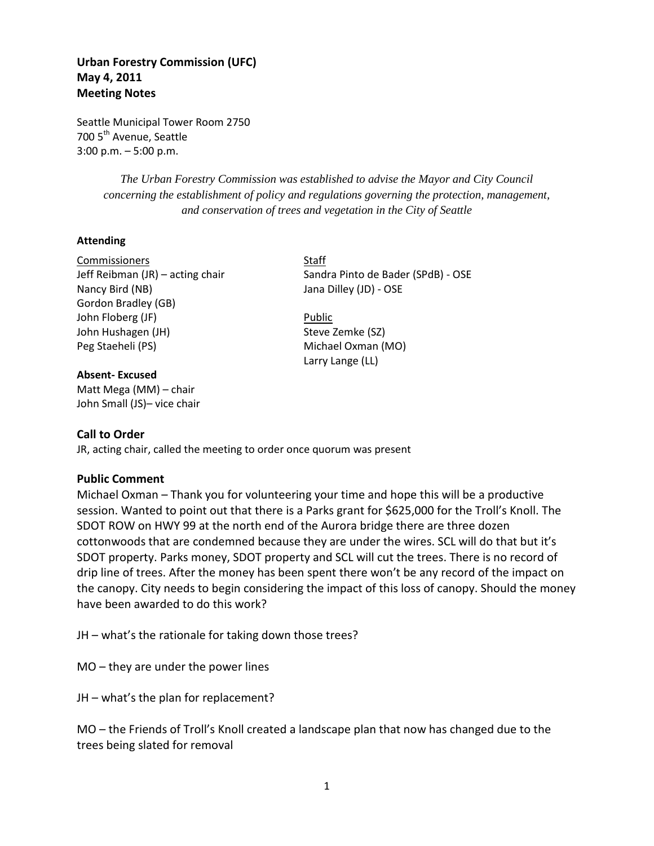# **Urban Forestry Commission (UFC) May 4, 2011 Meeting Notes**

Seattle Municipal Tower Room 2750 700 5<sup>th</sup> Avenue, Seattle 3:00 p.m. – 5:00 p.m.

> *The Urban Forestry Commission was established to advise the Mayor and City Council concerning the establishment of policy and regulations governing the protection, management, and conservation of trees and vegetation in the City of Seattle*

### **Attending**

Commissioners Staff Nancy Bird (NB) **Jana Dilley (JD)** - OSE Gordon Bradley (GB) John Floberg (JF) **Public** John Hushagen (JH) Steve Zemke (SZ) Peg Staeheli (PS) Michael Oxman (MO)

#### **Absent- Excused**

Matt Mega (MM) – chair John Small (JS)– vice chair

Jeff Reibman (JR) – acting chair Sandra Pinto de Bader (SPdB) - OSE

Larry Lange (LL)

### **Call to Order**

JR, acting chair, called the meeting to order once quorum was present

### **Public Comment**

Michael Oxman – Thank you for volunteering your time and hope this will be a productive session. Wanted to point out that there is a Parks grant for \$625,000 for the Troll's Knoll. The SDOT ROW on HWY 99 at the north end of the Aurora bridge there are three dozen cottonwoods that are condemned because they are under the wires. SCL will do that but it's SDOT property. Parks money, SDOT property and SCL will cut the trees. There is no record of drip line of trees. After the money has been spent there won't be any record of the impact on the canopy. City needs to begin considering the impact of this loss of canopy. Should the money have been awarded to do this work?

JH – what's the rationale for taking down those trees?

MO – they are under the power lines

JH – what's the plan for replacement?

MO – the Friends of Troll's Knoll created a landscape plan that now has changed due to the trees being slated for removal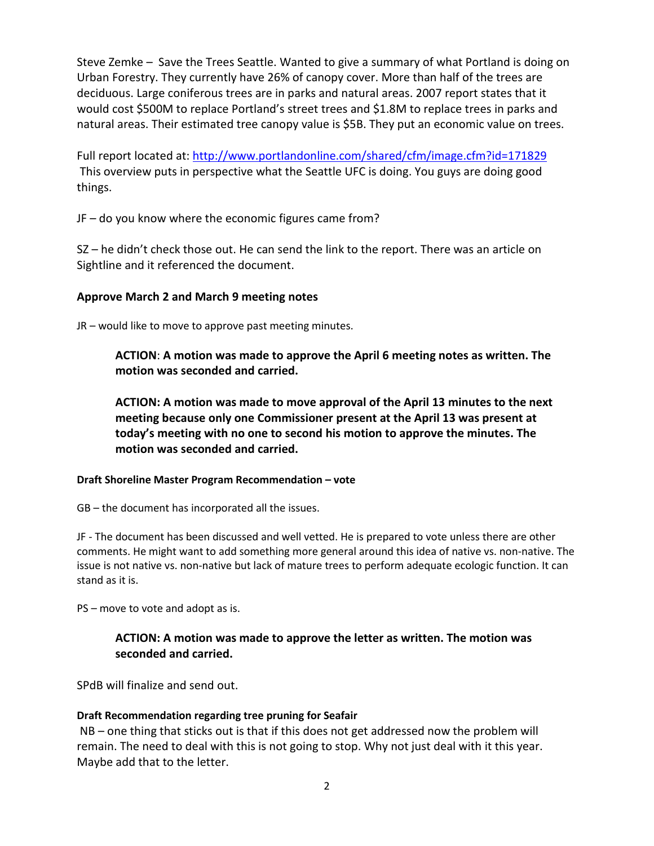Steve Zemke – Save the Trees Seattle. Wanted to give a summary of what Portland is doing on Urban Forestry. They currently have 26% of canopy cover. More than half of the trees are deciduous. Large coniferous trees are in parks and natural areas. 2007 report states that it would cost \$500M to replace Portland's street trees and \$1.8M to replace trees in parks and natural areas. Their estimated tree canopy value is \$5B. They put an economic value on trees.

Full report located at:<http://www.portlandonline.com/shared/cfm/image.cfm?id=171829> This overview puts in perspective what the Seattle UFC is doing. You guys are doing good things.

JF – do you know where the economic figures came from?

SZ – he didn't check those out. He can send the link to the report. There was an article on Sightline and it referenced the document.

# **Approve March 2 and March 9 meeting notes**

JR – would like to move to approve past meeting minutes.

**ACTION**: **A motion was made to approve the April 6 meeting notes as written. The motion was seconded and carried.**

**ACTION: A motion was made to move approval of the April 13 minutes to the next meeting because only one Commissioner present at the April 13 was present at today's meeting with no one to second his motion to approve the minutes. The motion was seconded and carried.**

## **Draft Shoreline Master Program Recommendation – vote**

GB – the document has incorporated all the issues.

JF - The document has been discussed and well vetted. He is prepared to vote unless there are other comments. He might want to add something more general around this idea of native vs. non-native. The issue is not native vs. non-native but lack of mature trees to perform adequate ecologic function. It can stand as it is.

PS – move to vote and adopt as is.

# **ACTION: A motion was made to approve the letter as written. The motion was seconded and carried.**

SPdB will finalize and send out.

## **Draft Recommendation regarding tree pruning for Seafair**

NB – one thing that sticks out is that if this does not get addressed now the problem will remain. The need to deal with this is not going to stop. Why not just deal with it this year. Maybe add that to the letter.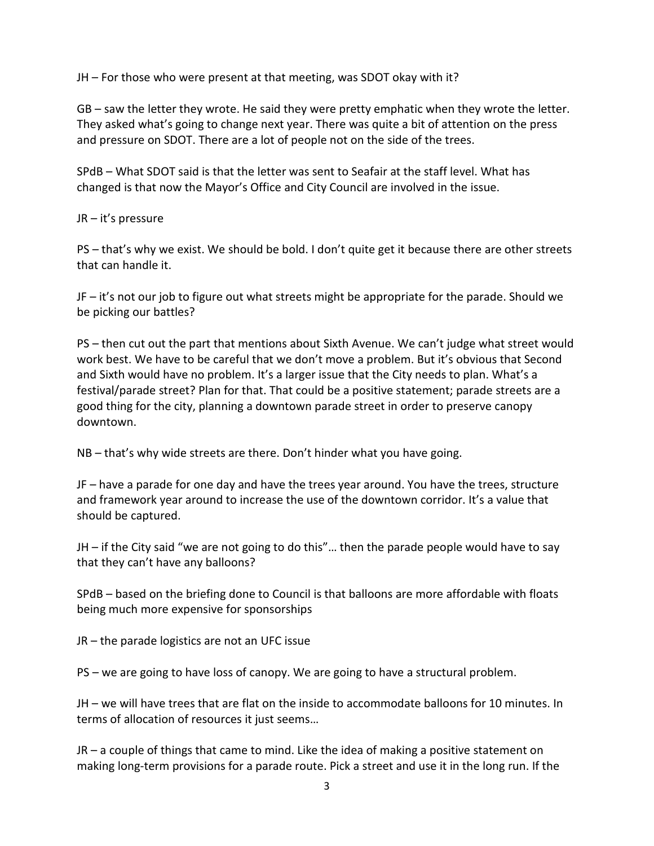JH – For those who were present at that meeting, was SDOT okay with it?

GB – saw the letter they wrote. He said they were pretty emphatic when they wrote the letter. They asked what's going to change next year. There was quite a bit of attention on the press and pressure on SDOT. There are a lot of people not on the side of the trees.

SPdB – What SDOT said is that the letter was sent to Seafair at the staff level. What has changed is that now the Mayor's Office and City Council are involved in the issue.

JR – it's pressure

PS – that's why we exist. We should be bold. I don't quite get it because there are other streets that can handle it.

JF – it's not our job to figure out what streets might be appropriate for the parade. Should we be picking our battles?

PS – then cut out the part that mentions about Sixth Avenue. We can't judge what street would work best. We have to be careful that we don't move a problem. But it's obvious that Second and Sixth would have no problem. It's a larger issue that the City needs to plan. What's a festival/parade street? Plan for that. That could be a positive statement; parade streets are a good thing for the city, planning a downtown parade street in order to preserve canopy downtown.

NB – that's why wide streets are there. Don't hinder what you have going.

JF – have a parade for one day and have the trees year around. You have the trees, structure and framework year around to increase the use of the downtown corridor. It's a value that should be captured.

JH – if the City said "we are not going to do this"… then the parade people would have to say that they can't have any balloons?

SPdB – based on the briefing done to Council is that balloons are more affordable with floats being much more expensive for sponsorships

JR – the parade logistics are not an UFC issue

PS – we are going to have loss of canopy. We are going to have a structural problem.

JH – we will have trees that are flat on the inside to accommodate balloons for 10 minutes. In terms of allocation of resources it just seems…

JR – a couple of things that came to mind. Like the idea of making a positive statement on making long-term provisions for a parade route. Pick a street and use it in the long run. If the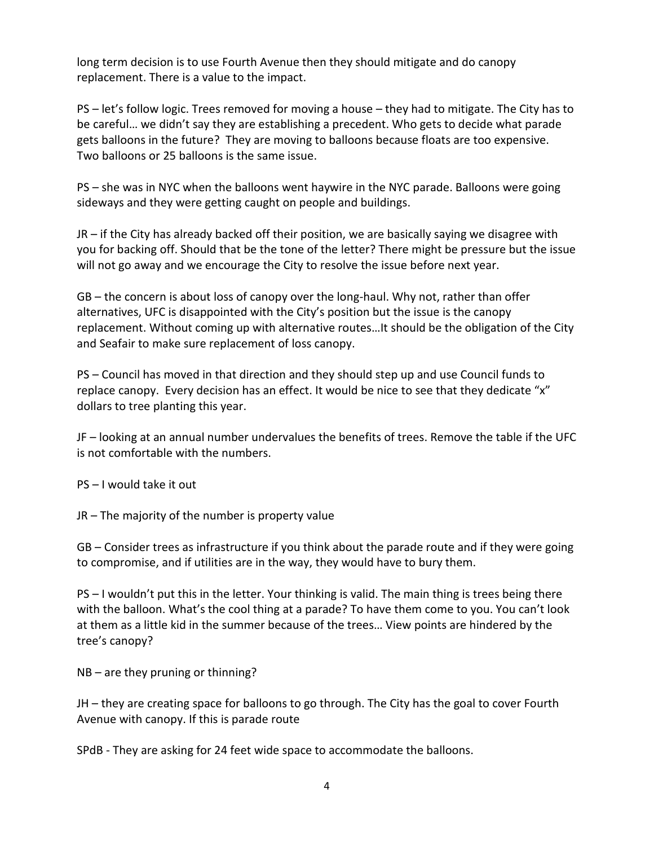long term decision is to use Fourth Avenue then they should mitigate and do canopy replacement. There is a value to the impact.

PS – let's follow logic. Trees removed for moving a house – they had to mitigate. The City has to be careful… we didn't say they are establishing a precedent. Who gets to decide what parade gets balloons in the future? They are moving to balloons because floats are too expensive. Two balloons or 25 balloons is the same issue.

PS – she was in NYC when the balloons went haywire in the NYC parade. Balloons were going sideways and they were getting caught on people and buildings.

JR – if the City has already backed off their position, we are basically saying we disagree with you for backing off. Should that be the tone of the letter? There might be pressure but the issue will not go away and we encourage the City to resolve the issue before next year.

GB – the concern is about loss of canopy over the long-haul. Why not, rather than offer alternatives, UFC is disappointed with the City's position but the issue is the canopy replacement. Without coming up with alternative routes…It should be the obligation of the City and Seafair to make sure replacement of loss canopy.

PS – Council has moved in that direction and they should step up and use Council funds to replace canopy. Every decision has an effect. It would be nice to see that they dedicate "x" dollars to tree planting this year.

JF – looking at an annual number undervalues the benefits of trees. Remove the table if the UFC is not comfortable with the numbers.

PS – I would take it out

JR – The majority of the number is property value

GB – Consider trees as infrastructure if you think about the parade route and if they were going to compromise, and if utilities are in the way, they would have to bury them.

PS – I wouldn't put this in the letter. Your thinking is valid. The main thing is trees being there with the balloon. What's the cool thing at a parade? To have them come to you. You can't look at them as a little kid in the summer because of the trees… View points are hindered by the tree's canopy?

NB – are they pruning or thinning?

JH – they are creating space for balloons to go through. The City has the goal to cover Fourth Avenue with canopy. If this is parade route

SPdB - They are asking for 24 feet wide space to accommodate the balloons.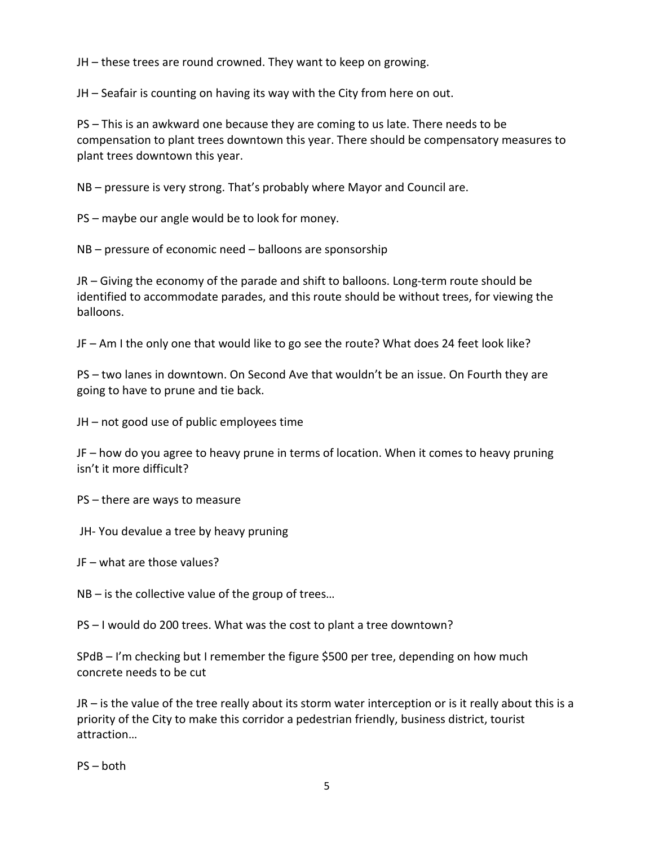JH – these trees are round crowned. They want to keep on growing.

JH – Seafair is counting on having its way with the City from here on out.

PS – This is an awkward one because they are coming to us late. There needs to be compensation to plant trees downtown this year. There should be compensatory measures to plant trees downtown this year.

NB – pressure is very strong. That's probably where Mayor and Council are.

PS – maybe our angle would be to look for money.

NB – pressure of economic need – balloons are sponsorship

JR – Giving the economy of the parade and shift to balloons. Long-term route should be identified to accommodate parades, and this route should be without trees, for viewing the balloons.

JF – Am I the only one that would like to go see the route? What does 24 feet look like?

PS – two lanes in downtown. On Second Ave that wouldn't be an issue. On Fourth they are going to have to prune and tie back.

JH – not good use of public employees time

JF – how do you agree to heavy prune in terms of location. When it comes to heavy pruning isn't it more difficult?

PS – there are ways to measure

JH- You devalue a tree by heavy pruning

JF – what are those values?

NB – is the collective value of the group of trees…

PS – I would do 200 trees. What was the cost to plant a tree downtown?

SPdB – I'm checking but I remember the figure \$500 per tree, depending on how much concrete needs to be cut

JR – is the value of the tree really about its storm water interception or is it really about this is a priority of the City to make this corridor a pedestrian friendly, business district, tourist attraction…

PS – both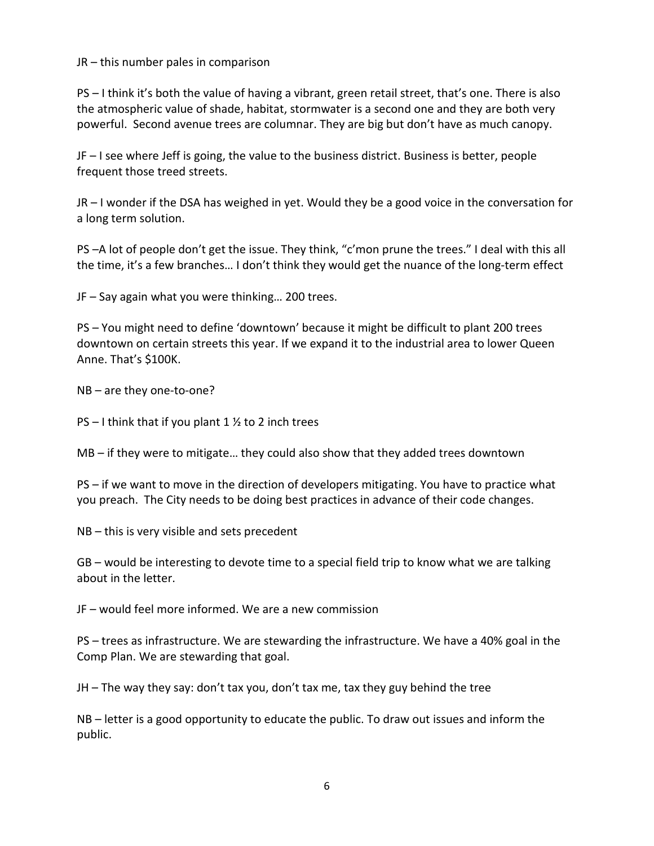JR – this number pales in comparison

PS – I think it's both the value of having a vibrant, green retail street, that's one. There is also the atmospheric value of shade, habitat, stormwater is a second one and they are both very powerful. Second avenue trees are columnar. They are big but don't have as much canopy.

JF – I see where Jeff is going, the value to the business district. Business is better, people frequent those treed streets.

JR – I wonder if the DSA has weighed in yet. Would they be a good voice in the conversation for a long term solution.

PS –A lot of people don't get the issue. They think, "c'mon prune the trees." I deal with this all the time, it's a few branches… I don't think they would get the nuance of the long-term effect

JF – Say again what you were thinking… 200 trees.

PS – You might need to define 'downtown' because it might be difficult to plant 200 trees downtown on certain streets this year. If we expand it to the industrial area to lower Queen Anne. That's \$100K.

NB – are they one-to-one?

PS – I think that if you plant 1  $\frac{1}{2}$  to 2 inch trees

MB – if they were to mitigate… they could also show that they added trees downtown

PS – if we want to move in the direction of developers mitigating. You have to practice what you preach. The City needs to be doing best practices in advance of their code changes.

NB – this is very visible and sets precedent

GB – would be interesting to devote time to a special field trip to know what we are talking about in the letter.

JF – would feel more informed. We are a new commission

PS – trees as infrastructure. We are stewarding the infrastructure. We have a 40% goal in the Comp Plan. We are stewarding that goal.

JH – The way they say: don't tax you, don't tax me, tax they guy behind the tree

NB – letter is a good opportunity to educate the public. To draw out issues and inform the public.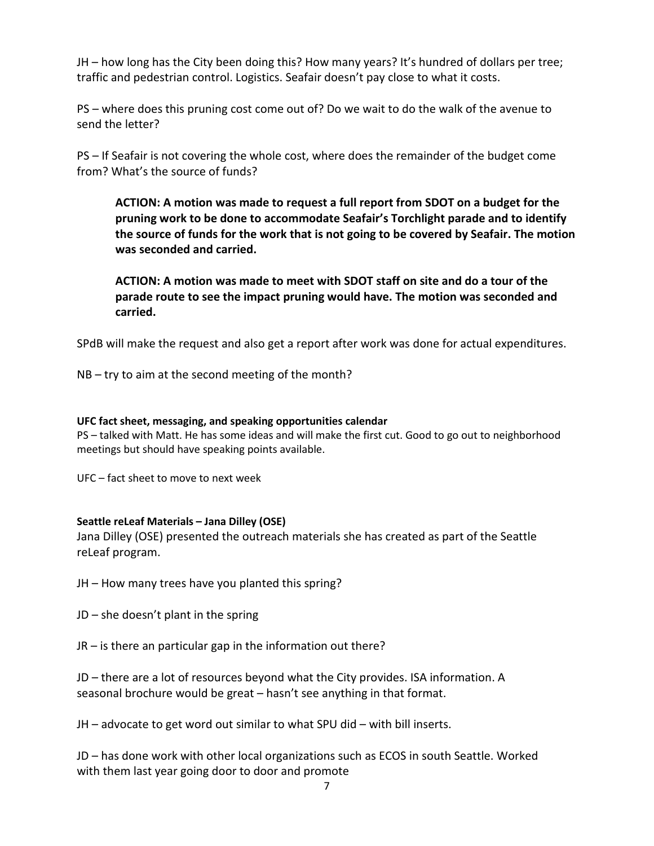JH – how long has the City been doing this? How many years? It's hundred of dollars per tree; traffic and pedestrian control. Logistics. Seafair doesn't pay close to what it costs.

PS – where does this pruning cost come out of? Do we wait to do the walk of the avenue to send the letter?

PS – If Seafair is not covering the whole cost, where does the remainder of the budget come from? What's the source of funds?

**ACTION: A motion was made to request a full report from SDOT on a budget for the pruning work to be done to accommodate Seafair's Torchlight parade and to identify the source of funds for the work that is not going to be covered by Seafair. The motion was seconded and carried.** 

**ACTION: A motion was made to meet with SDOT staff on site and do a tour of the parade route to see the impact pruning would have. The motion was seconded and carried.** 

SPdB will make the request and also get a report after work was done for actual expenditures.

NB – try to aim at the second meeting of the month?

### **UFC fact sheet, messaging, and speaking opportunities calendar**

PS – talked with Matt. He has some ideas and will make the first cut. Good to go out to neighborhood meetings but should have speaking points available.

UFC – fact sheet to move to next week

## **Seattle reLeaf Materials – Jana Dilley (OSE)**

Jana Dilley (OSE) presented the outreach materials she has created as part of the Seattle reLeaf program.

JH – How many trees have you planted this spring?

JD – she doesn't plant in the spring

JR – is there an particular gap in the information out there?

JD – there are a lot of resources beyond what the City provides. ISA information. A seasonal brochure would be great – hasn't see anything in that format.

JH – advocate to get word out similar to what SPU did – with bill inserts.

JD – has done work with other local organizations such as ECOS in south Seattle. Worked with them last year going door to door and promote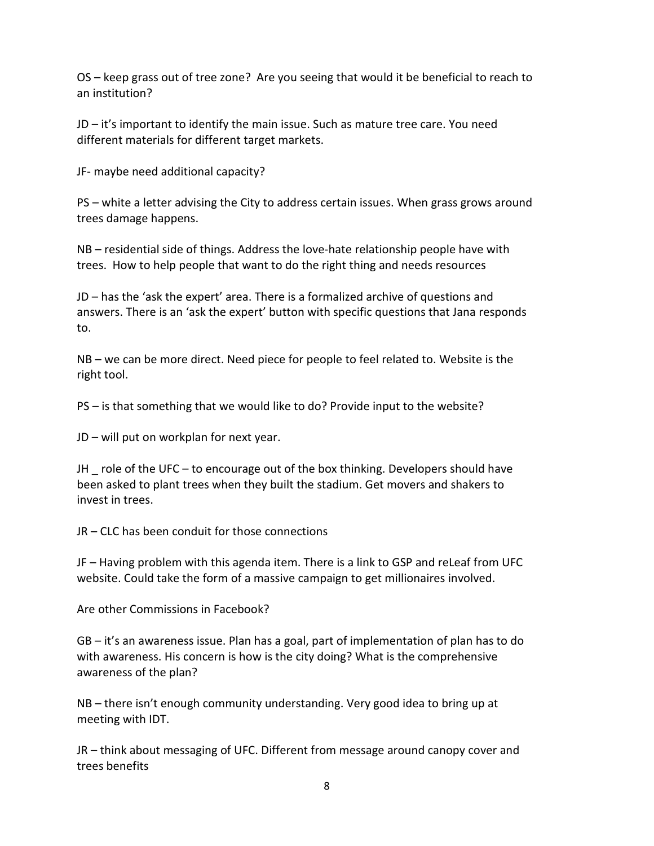OS – keep grass out of tree zone? Are you seeing that would it be beneficial to reach to an institution?

JD – it's important to identify the main issue. Such as mature tree care. You need different materials for different target markets.

JF- maybe need additional capacity?

PS – white a letter advising the City to address certain issues. When grass grows around trees damage happens.

NB – residential side of things. Address the love-hate relationship people have with trees. How to help people that want to do the right thing and needs resources

JD – has the 'ask the expert' area. There is a formalized archive of questions and answers. There is an 'ask the expert' button with specific questions that Jana responds to.

NB – we can be more direct. Need piece for people to feel related to. Website is the right tool.

PS – is that something that we would like to do? Provide input to the website?

JD – will put on workplan for next year.

JH  $\cdot$  role of the UFC – to encourage out of the box thinking. Developers should have been asked to plant trees when they built the stadium. Get movers and shakers to invest in trees.

JR – CLC has been conduit for those connections

JF – Having problem with this agenda item. There is a link to GSP and reLeaf from UFC website. Could take the form of a massive campaign to get millionaires involved.

Are other Commissions in Facebook?

GB – it's an awareness issue. Plan has a goal, part of implementation of plan has to do with awareness. His concern is how is the city doing? What is the comprehensive awareness of the plan?

NB – there isn't enough community understanding. Very good idea to bring up at meeting with IDT.

JR – think about messaging of UFC. Different from message around canopy cover and trees benefits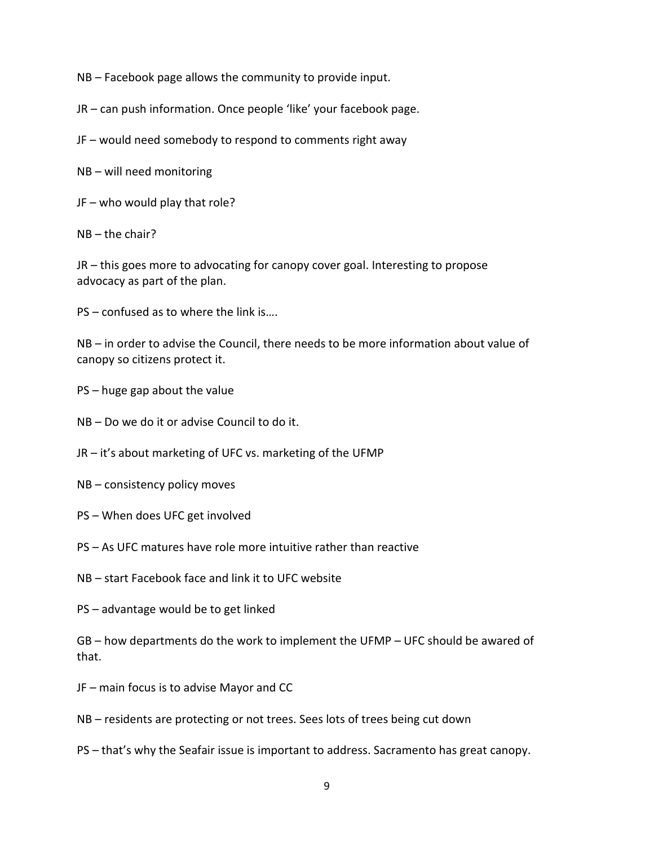NB – Facebook page allows the community to provide input.

JR – can push information. Once people 'like' your facebook page.

JF – would need somebody to respond to comments right away

NB – will need monitoring

JF – who would play that role?

NB – the chair?

JR – this goes more to advocating for canopy cover goal. Interesting to propose advocacy as part of the plan.

PS – confused as to where the link is….

NB – in order to advise the Council, there needs to be more information about value of canopy so citizens protect it.

PS – huge gap about the value

NB – Do we do it or advise Council to do it.

JR – it's about marketing of UFC vs. marketing of the UFMP

- NB consistency policy moves
- PS When does UFC get involved
- PS As UFC matures have role more intuitive rather than reactive
- NB start Facebook face and link it to UFC website
- PS advantage would be to get linked

GB – how departments do the work to implement the UFMP – UFC should be awared of that.

- JF main focus is to advise Mayor and CC
- NB residents are protecting or not trees. Sees lots of trees being cut down
- PS that's why the Seafair issue is important to address. Sacramento has great canopy.